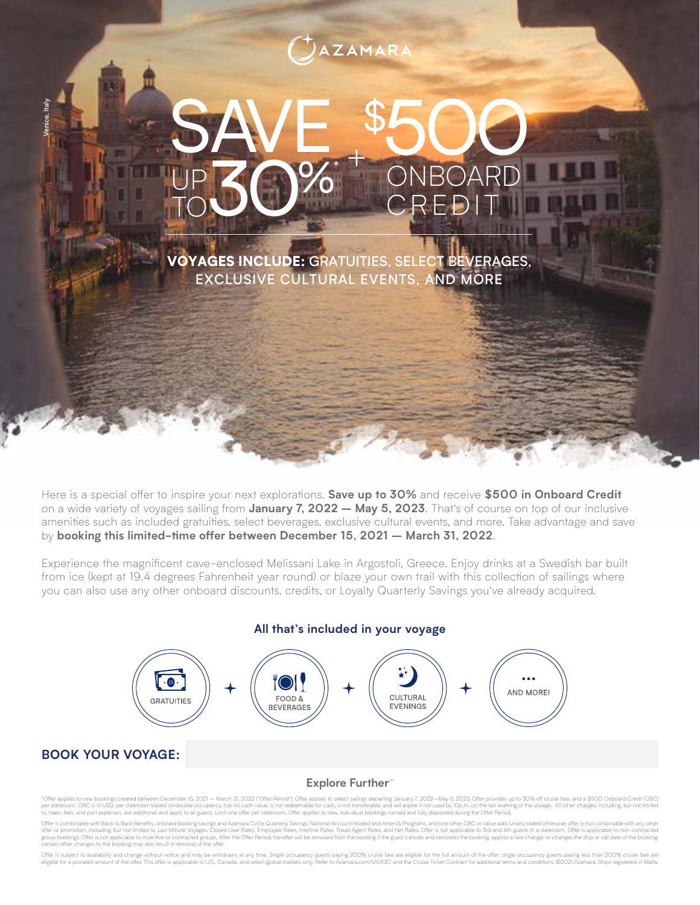# **AZAMARA**

## SAVE \$ 500 ONBOAR CREDI + UP TO 30%**\***

VOYAGES INCLUDE: GRATUITIES, SELECT BEVERAGES, EXCLUSIVE CULTURAL EVENTS, AND MORE

Here is a special offer to inspire your next explorations. **Save up to 30%** and receive **\$500 in Onboard Credit** on a wide variety of voyages sailing from **January 7, 2022 – May 5, 2023**. That's of course on top of our inclusive amenities such as included gratuities, select beverages, exclusive cultural events, and more. Take advantage and save by **booking this limited-time offer between December 15, 2021 – March 31, 2022**.

Experience the magnificent cave-enclosed Melissani Lake in Argostoli, Greece. Enjoy drinks at a Swedish bar built from ice (kept at 19.4 degrees Fahrenheit year round) or blaze your own trail with this collection of sailings where you can also use any other onboard discounts, credits, or Loyalty Quarterly Savings you've already acquired.

> $\lceil \cdot \circ \cdot \rceil$ **AND MORE! FOOD &** CULTURAL **GRATUITIES BEVERAGES EVENINGS**

**All that's included in your voyage**

## **BOOK YOUR VOYAGE:**

Venice, Italy

#### Explore Further<sup>sM</sup>

\*Offer applies to new bookings created between December 15, 2021 — March 31, 2022 (\*Offer Period\*). Offer applies to select sailings departing January 7, 2022—May 5, 2023. Offer provides up to 30% off cruise fare, and a \$5

Offer is combinable with Back to Back Benefits, onboard booking savings and Azamara Circle Quarterly Savings, National Account Hosted and Amenity Programs, and one other OBC or value add. Unless stated otherwise, offer is group bookings. Offer is not applicable to incentive or contracted groups. After the Offer Period, the offer will be removed from the booking if the guest cancels and reinstates the booking, applies a fare change, or chang certain other changes to the booking may also result in removal of the offer.

Offer is subject to availability and change without notice and may be withdrawn at any time. Single occupancy guests paying 200% cruise fare are eligible for the full amount of the offer; single occupancy guests paying les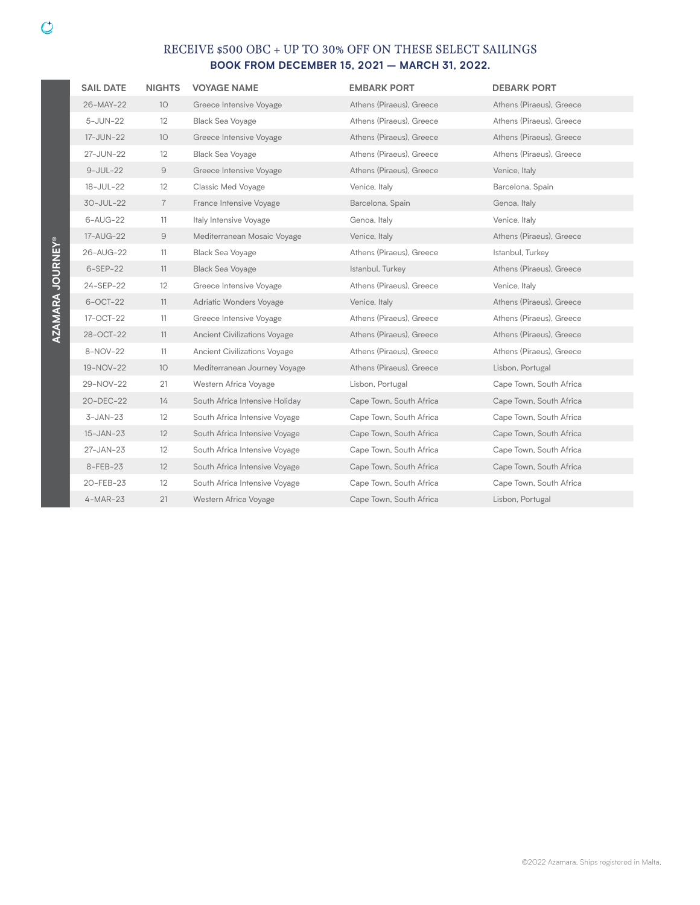| <b>SAIL DATE</b> | <b>NIGHTS</b>   | <b>VOYAGE NAME</b>                  | <b>EMBARK PORT</b>       | <b>DEBARK PORT</b>       |
|------------------|-----------------|-------------------------------------|--------------------------|--------------------------|
| 26-MAY-22        | 10              | Greece Intensive Voyage             | Athens (Piraeus), Greece | Athens (Piraeus), Greece |
| 5-JUN-22         | 12              | <b>Black Sea Voyage</b>             | Athens (Piraeus), Greece | Athens (Piraeus), Greece |
| 17-JUN-22        | 10 <sup>°</sup> | Greece Intensive Voyage             | Athens (Piraeus), Greece | Athens (Piraeus), Greece |
| 27-JUN-22        | 12              | <b>Black Sea Voyage</b>             | Athens (Piraeus), Greece | Athens (Piraeus), Greece |
| $9-JUL-22$       | 9               | Greece Intensive Voyage             | Athens (Piraeus), Greece | Venice, Italy            |
| 18-JUL-22        | 12              | Classic Med Voyage                  | Venice, Italy            | Barcelona, Spain         |
| 30-JUL-22        | $\overline{7}$  | France Intensive Voyage             | Barcelona, Spain         | Genoa, Italy             |
| 6-AUG-22         | 11              | Italy Intensive Voyage              | Genoa, Italy             | Venice, Italy            |
| 17-AUG-22        | 9               | Mediterranean Mosaic Voyage         | Venice, Italy            | Athens (Piraeus), Greece |
| 26-AUG-22        | 11              | <b>Black Sea Voyage</b>             | Athens (Piraeus), Greece | Istanbul, Turkey         |
| $6-SEP-22$       | 11              | <b>Black Sea Voyage</b>             | Istanbul, Turkey         | Athens (Piraeus), Greece |
| 24-SEP-22        | 12              | Greece Intensive Voyage             | Athens (Piraeus), Greece | Venice, Italy            |
| 6-OCT-22         | 11              | Adriatic Wonders Voyage             | Venice, Italy            | Athens (Piraeus), Greece |
| 17-OCT-22        | 11              | Greece Intensive Voyage             | Athens (Piraeus), Greece | Athens (Piraeus), Greece |
| 28-OCT-22        | 11              | <b>Ancient Civilizations Voyage</b> | Athens (Piraeus), Greece | Athens (Piraeus), Greece |
| 8-NOV-22         | 11              | Ancient Civilizations Voyage        | Athens (Piraeus), Greece | Athens (Piraeus), Greece |
| 19-NOV-22        | 10              | Mediterranean Journey Voyage        | Athens (Piraeus), Greece | Lisbon, Portugal         |
| 29-NOV-22        | 21              | Western Africa Voyage               | Lisbon, Portugal         | Cape Town, South Africa  |
| 20-DEC-22        | 14              | South Africa Intensive Holiday      | Cape Town, South Africa  | Cape Town, South Africa  |
| $3-JAN-23$       | 12              | South Africa Intensive Voyage       | Cape Town, South Africa  | Cape Town, South Africa  |
| $15 - JAN - 23$  | 12              | South Africa Intensive Voyage       | Cape Town, South Africa  | Cape Town, South Africa  |
| 27-JAN-23        | 12              | South Africa Intensive Voyage       | Cape Town, South Africa  | Cape Town, South Africa  |
| 8-FEB-23         | 12              | South Africa Intensive Voyage       | Cape Town, South Africa  | Cape Town, South Africa  |
| 20-FEB-23        | 12              | South Africa Intensive Voyage       | Cape Town, South Africa  | Cape Town, South Africa  |
| $4-MAR-23$       | 21              | Western Africa Voyage               | Cape Town, South Africa  | Lisbon, Portugal         |
|                  |                 |                                     |                          |                          |

**AZAMARA JOURNEY®**

AZAMARA JOURNEY®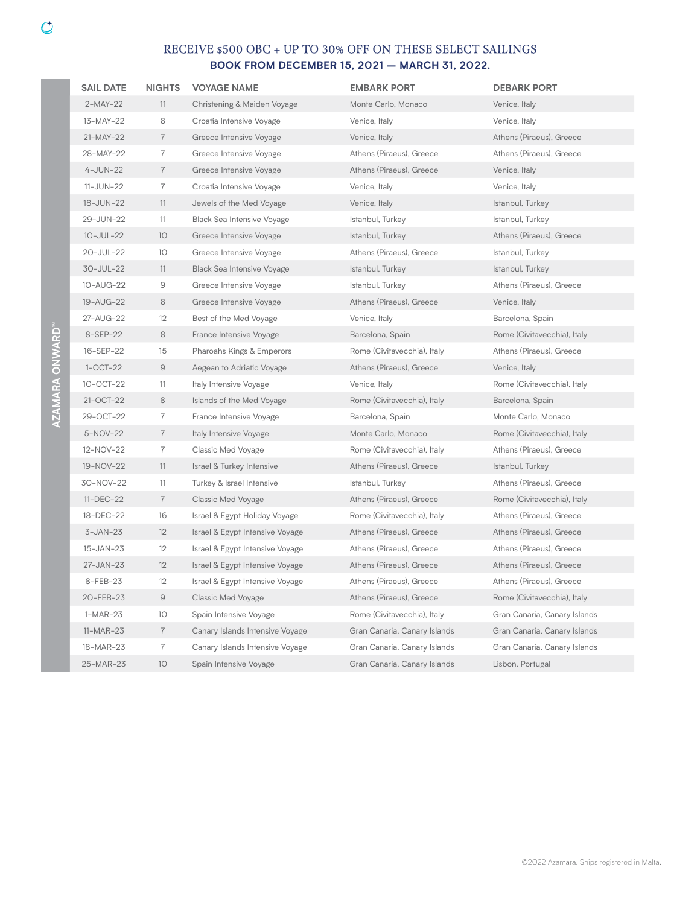| <b>SAIL DATE</b> | <b>NIGHTS</b>   | <b>VOYAGE NAME</b>              | <b>EMBARK PORT</b>           | <b>DEBARK PORT</b>           |
|------------------|-----------------|---------------------------------|------------------------------|------------------------------|
| $2-MAY-22$       | 11              | Christening & Maiden Voyage     | Monte Carlo, Monaco          | Venice, Italy                |
| 13-MAY-22        | 8               | Croatia Intensive Voyage        | Venice, Italy                | Venice, Italy                |
| 21-MAY-22        | $\overline{7}$  | Greece Intensive Voyage         | Venice, Italy                | Athens (Piraeus), Greece     |
| 28-MAY-22        | $\overline{7}$  | Greece Intensive Voyage         | Athens (Piraeus), Greece     | Athens (Piraeus), Greece     |
| $4-JUN-22$       | $\overline{7}$  | Greece Intensive Voyage         | Athens (Piraeus), Greece     | Venice, Italy                |
| 11-JUN-22        | 7               | Croatia Intensive Voyage        | Venice, Italy                | Venice, Italy                |
| 18-JUN-22        | 11              | Jewels of the Med Voyage        | Venice, Italy                | Istanbul, Turkey             |
| 29-JUN-22        | 11              | Black Sea Intensive Voyage      | Istanbul, Turkey             | Istanbul, Turkey             |
| 10-JUL-22        | 10              | Greece Intensive Voyage         | Istanbul, Turkey             | Athens (Piraeus), Greece     |
| 20-JUL-22        | 10 <sup>°</sup> | Greece Intensive Voyage         | Athens (Piraeus), Greece     | Istanbul, Turkey             |
| 30-JUL-22        | 11              | Black Sea Intensive Voyage      | Istanbul, Turkey             | Istanbul, Turkey             |
| 10-AUG-22        | 9               | Greece Intensive Voyage         | Istanbul, Turkey             | Athens (Piraeus), Greece     |
| 19-AUG-22        | 8               | Greece Intensive Voyage         | Athens (Piraeus), Greece     | Venice, Italy                |
| 27-AUG-22        | 12              | Best of the Med Voyage          | Venice, Italy                | Barcelona, Spain             |
| 8-SEP-22         | 8               | France Intensive Voyage         | Barcelona, Spain             | Rome (Civitavecchia), Italy  |
| 16-SEP-22        | 15              | Pharoahs Kings & Emperors       | Rome (Civitavecchia), Italy  | Athens (Piraeus), Greece     |
| $1-OCT-22$       | $\mathcal{Q}$   | Aegean to Adriatic Voyage       | Athens (Piraeus), Greece     | Venice, Italy                |
| 10-OCT-22        | 11              | Italy Intensive Voyage          | Venice, Italy                | Rome (Civitavecchia), Italy  |
| 21-OCT-22        | 8               | Islands of the Med Voyage       | Rome (Civitavecchia), Italy  | Barcelona, Spain             |
| 29-OCT-22        | 7               | France Intensive Voyage         | Barcelona, Spain             | Monte Carlo, Monaco          |
| 5-NOV-22         | $\overline{7}$  | Italy Intensive Voyage          | Monte Carlo, Monaco          | Rome (Civitavecchia), Italy  |
| 12-NOV-22        | 7               | Classic Med Voyage              | Rome (Civitavecchia), Italy  | Athens (Piraeus), Greece     |
| 19-NOV-22        | 11              | Israel & Turkey Intensive       | Athens (Piraeus), Greece     | Istanbul, Turkey             |
| 30-NOV-22        | 11              | Turkey & Israel Intensive       | Istanbul, Turkey             | Athens (Piraeus), Greece     |
| $11 - DEC - 22$  | $\overline{7}$  | <b>Classic Med Voyage</b>       | Athens (Piraeus), Greece     | Rome (Civitavecchia), Italy  |
| 18-DEC-22        | 16              | Israel & Egypt Holiday Voyage   | Rome (Civitavecchia), Italy  | Athens (Piraeus), Greece     |
| $3-JAN-23$       | 12              | Israel & Egypt Intensive Voyage | Athens (Piraeus), Greece     | Athens (Piraeus), Greece     |
| 15-JAN-23        | $12 \,$         | Israel & Egypt Intensive Voyage | Athens (Piraeus), Greece     | Athens (Piraeus), Greece     |
| 27-JAN-23        | 12              | Israel & Egypt Intensive Voyage | Athens (Piraeus), Greece     | Athens (Piraeus), Greece     |
| 8-FEB-23         | 12              | Israel & Egypt Intensive Voyage | Athens (Piraeus), Greece     | Athens (Piraeus), Greece     |
| 20-FEB-23        | $\mathcal{Q}$   | Classic Med Voyage              | Athens (Piraeus), Greece     | Rome (Civitavecchia), Italy  |
| $1-MAR-23$       | 10 <sup>°</sup> | Spain Intensive Voyage          | Rome (Civitavecchia), Italy  | Gran Canaria, Canary Islands |
| $11-MAR-23$      | $\overline{7}$  | Canary Islands Intensive Voyage | Gran Canaria, Canary Islands | Gran Canaria, Canary Islands |
| 18-MAR-23        | 7               | Canary Islands Intensive Voyage | Gran Canaria, Canary Islands | Gran Canaria, Canary Islands |
| 25-MAR-23        | 10              | Spain Intensive Voyage          | Gran Canaria, Canary Islands | Lisbon, Portugal             |

**AZAMARA ONWARDSM**

AZAMARA ONWARD<sup>\*\*</sup>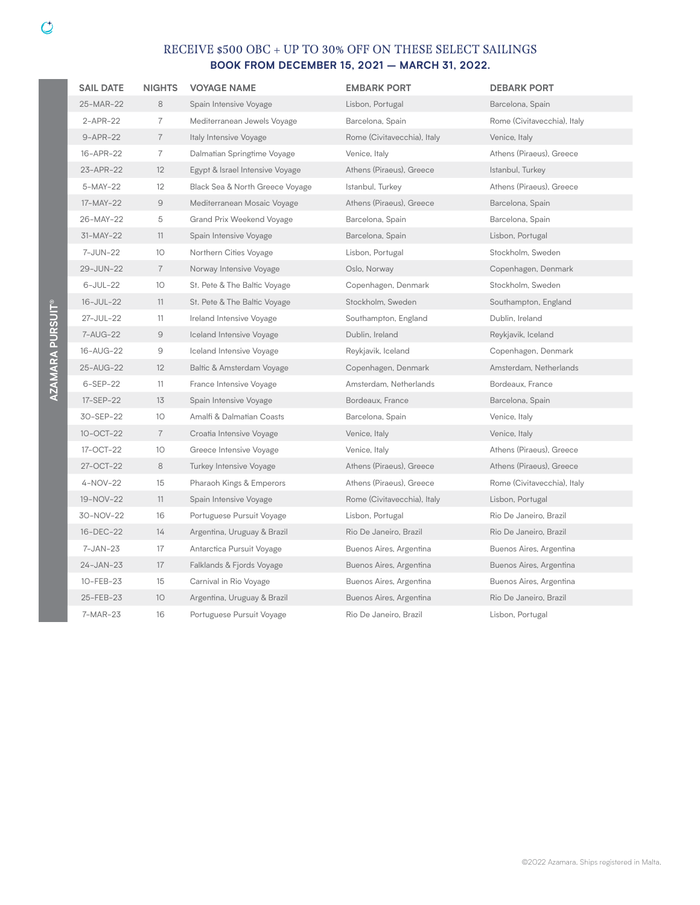| <b>SAIL DATE</b> | <b>NIGHTS</b>   | <b>VOYAGE NAME</b>              | <b>EMBARK PORT</b>          | <b>DEBARK PORT</b>          |
|------------------|-----------------|---------------------------------|-----------------------------|-----------------------------|
| 25-MAR-22        | 8               | Spain Intensive Voyage          | Lisbon, Portugal            | Barcelona, Spain            |
| 2-APR-22         | $\overline{7}$  | Mediterranean Jewels Voyage     | Barcelona, Spain            | Rome (Civitavecchia), Italy |
| 9-APR-22         | $\overline{7}$  | Italy Intensive Voyage          | Rome (Civitavecchia), Italy | Venice, Italy               |
| 16-APR-22        | $\overline{7}$  | Dalmatian Springtime Voyage     | Venice, Italy               | Athens (Piraeus), Greece    |
| 23-APR-22        | 12              | Egypt & Israel Intensive Voyage | Athens (Piraeus), Greece    | Istanbul, Turkey            |
| 5-MAY-22         | 12              | Black Sea & North Greece Voyage | Istanbul, Turkey            | Athens (Piraeus), Greece    |
| 17-MAY-22        | $\Theta$        | Mediterranean Mosaic Voyage     | Athens (Piraeus), Greece    | Barcelona, Spain            |
| 26-MAY-22        | 5               | Grand Prix Weekend Voyage       | Barcelona, Spain            | Barcelona, Spain            |
| 31-MAY-22        | 11              | Spain Intensive Voyage          | Barcelona, Spain            | Lisbon, Portugal            |
| 7-JUN-22         | 10              | Northern Cities Voyage          | Lisbon, Portugal            | Stockholm, Sweden           |
| 29-JUN-22        | $\overline{7}$  | Norway Intensive Voyage         | Oslo, Norway                | Copenhagen, Denmark         |
| 6-JUL-22         | 10              | St. Pete & The Baltic Voyage    | Copenhagen, Denmark         | Stockholm, Sweden           |
| 16-JUL-22        | 11              | St. Pete & The Baltic Voyage    | Stockholm, Sweden           | Southampton, England        |
| 27-JUL-22        | 11              | Ireland Intensive Voyage        | Southampton, England        | Dublin, Ireland             |
| 7-AUG-22         | $\Theta$        | Iceland Intensive Voyage        | Dublin, Ireland             | Reykjavik, Iceland          |
| 16-AUG-22        | $\mathcal Q$    | Iceland Intensive Voyage        | Reykjavik, Iceland          | Copenhagen, Denmark         |
| 25-AUG-22        | 12              | Baltic & Amsterdam Voyage       | Copenhagen, Denmark         | Amsterdam, Netherlands      |
| 6-SEP-22         | 11              | France Intensive Voyage         | Amsterdam, Netherlands      | Bordeaux, France            |
| 17-SEP-22        | 13              | Spain Intensive Voyage          | Bordeaux, France            | Barcelona, Spain            |
| 30-SEP-22        | 10              | Amalfi & Dalmatian Coasts       | Barcelona, Spain            | Venice, Italy               |
| 10-OCT-22        | $\overline{7}$  | Croatia Intensive Voyage        | Venice, Italy               | Venice, Italy               |
| 17-OCT-22        | 10              | Greece Intensive Voyage         | Venice, Italy               | Athens (Piraeus), Greece    |
| 27-OCT-22        | 8               | Turkey Intensive Voyage         | Athens (Piraeus), Greece    | Athens (Piraeus), Greece    |
| 4-NOV-22         | 15              | Pharaoh Kings & Emperors        | Athens (Piraeus), Greece    | Rome (Civitavecchia), Italy |
| 19-NOV-22        | 11              | Spain Intensive Voyage          | Rome (Civitavecchia), Italy | Lisbon, Portugal            |
| 30-NOV-22        | 16              | Portuguese Pursuit Voyage       | Lisbon, Portugal            | Rio De Janeiro, Brazil      |
| 16-DEC-22        | 14              | Argentina, Uruguay & Brazil     | Rio De Janeiro, Brazil      | Rio De Janeiro, Brazil      |
| 7-JAN-23         | 17              | Antarctica Pursuit Voyage       | Buenos Aires, Argentina     | Buenos Aires, Argentina     |
| 24-JAN-23        | 17              | Falklands & Fjords Voyage       | Buenos Aires, Argentina     | Buenos Aires, Argentina     |
| 10-FEB-23        | 15              | Carnival in Rio Voyage          | Buenos Aires, Argentina     | Buenos Aires, Argentina     |
| 25-FEB-23        | 10 <sup>°</sup> | Argentina, Uruguay & Brazil     | Buenos Aires, Argentina     | Rio De Janeiro, Brazil      |
| 7-MAR-23         | 16              | Portuguese Pursuit Voyage       | Rio De Janeiro, Brazil      | Lisbon, Portugal            |